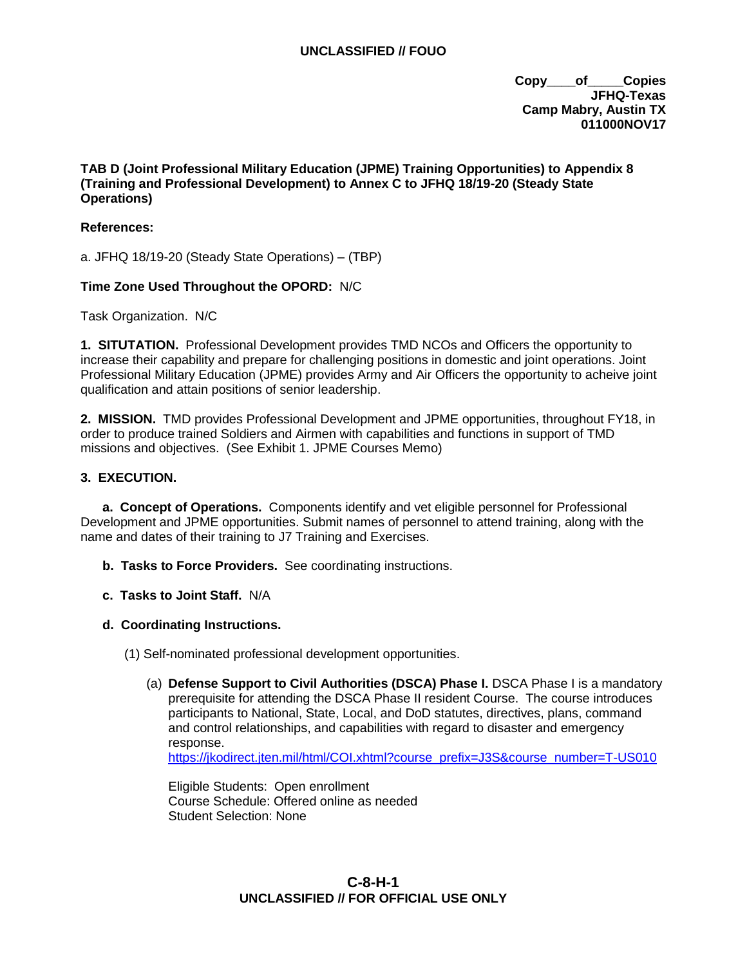**Copy\_\_\_\_of\_\_\_\_\_Copies JFHQ-Texas Camp Mabry, Austin TX 011000NOV17**

# **TAB D (Joint Professional Military Education (JPME) Training Opportunities) to Appendix 8 (Training and Professional Development) to Annex C to JFHQ 18/19-20 (Steady State Operations)**

## **References:**

a. JFHQ 18/19-20 (Steady State Operations) – (TBP)

#### **Time Zone Used Throughout the OPORD:** N/C

Task Organization. N/C

**1. SITUTATION.** Professional Development provides TMD NCOs and Officers the opportunity to increase their capability and prepare for challenging positions in domestic and joint operations. Joint Professional Military Education (JPME) provides Army and Air Officers the opportunity to acheive joint qualification and attain positions of senior leadership.

**2. MISSION.** TMD provides Professional Development and JPME opportunities, throughout FY18, in order to produce trained Soldiers and Airmen with capabilities and functions in support of TMD missions and objectives. (See Exhibit 1. JPME Courses Memo)

#### **3. EXECUTION.**

**a. Concept of Operations.** Components identify and vet eligible personnel for Professional Development and JPME opportunities. Submit names of personnel to attend training, along with the name and dates of their training to J7 Training and Exercises.

- **b. Tasks to Force Providers.** See coordinating instructions.
- **c. Tasks to Joint Staff.** N/A

#### **d. Coordinating Instructions.**

- (1) Self-nominated professional development opportunities.
	- (a) **Defense Support to Civil Authorities (DSCA) Phase I.** DSCA Phase I is a mandatory prerequisite for attending the DSCA Phase II resident Course. The course introduces participants to National, State, Local, and DoD statutes, directives, plans, command and control relationships, and capabilities with regard to disaster and emergency response. [https://jkodirect.jten.mil/html/COI.xhtml?course\\_prefix=J3S&course\\_number=T-US010](https://jkodirect.jten.mil/html/COI.xhtml?course_prefix=J3S&course_number=T-US010)

Eligible Students: Open enrollment Course Schedule: Offered online as needed Student Selection: None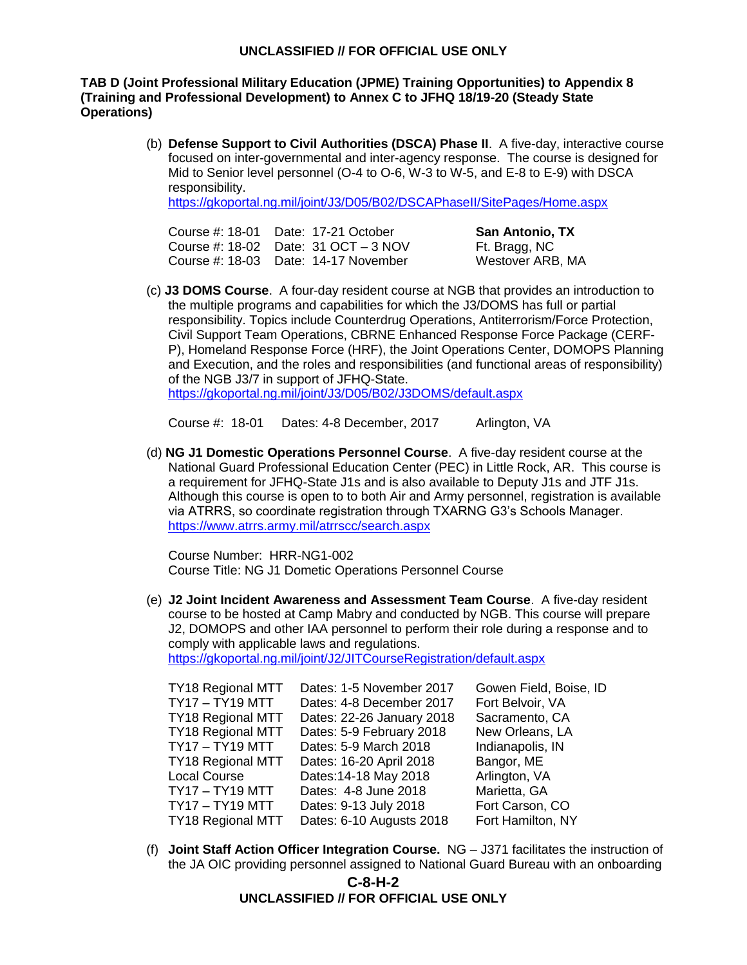# **TAB D (Joint Professional Military Education (JPME) Training Opportunities) to Appendix 8 (Training and Professional Development) to Annex C to JFHQ 18/19-20 (Steady State Operations)**

(b) **Defense Support to Civil Authorities (DSCA) Phase II**. A five-day, interactive course focused on inter-governmental and inter-agency response. The course is designed for Mid to Senior level personnel (O-4 to O-6, W-3 to W-5, and E-8 to E-9) with DSCA responsibility.

<https://gkoportal.ng.mil/joint/J3/D05/B02/DSCAPhaseII/SitePages/Home.aspx>

| Course #: 18-01    Date: 17-21    October | <b>San Antonio, TX</b> |
|-------------------------------------------|------------------------|
| Course #: 18-02 Date: $31$ OCT $-3$ NOV   | Ft. Bragg, NC          |
| Course #: 18-03 Date: 14-17 November      | Westover ARB, MA       |

(c) **J3 DOMS Course**. A four-day resident course at NGB that provides an introduction to the multiple programs and capabilities for which the J3/DOMS has full or partial responsibility. Topics include Counterdrug Operations, Antiterrorism/Force Protection, Civil Support Team Operations, CBRNE Enhanced Response Force Package (CERF-P), Homeland Response Force (HRF), the Joint Operations Center, DOMOPS Planning and Execution, and the roles and responsibilities (and functional areas of responsibility) of the NGB J3/7 in support of JFHQ-State. <https://gkoportal.ng.mil/joint/J3/D05/B02/J3DOMS/default.aspx>

Course #: 18-01 Dates: 4-8 December, 2017 Arlington, VA

(d) **NG J1 Domestic Operations Personnel Course**. A five-day resident course at the National Guard Professional Education Center (PEC) in Little Rock, AR. This course is a requirement for JFHQ-State J1s and is also available to Deputy J1s and JTF J1s. Although this course is open to to both Air and Army personnel, registration is available via ATRRS, so coordinate registration through TXARNG G3's Schools Manager. <https://www.atrrs.army.mil/atrrscc/search.aspx>

Course Number: HRR-NG1-002 Course Title: NG J1 Dometic Operations Personnel Course

(e) **J2 Joint Incident Awareness and Assessment Team Course**. A five-day resident course to be hosted at Camp Mabry and conducted by NGB. This course will prepare J2, DOMOPS and other IAA personnel to perform their role during a response and to comply with applicable laws and regulations.

<https://gkoportal.ng.mil/joint/J2/JITCourseRegistration/default.aspx>

| <b>TY18 Regional MTT</b> | Dates: 1-5 November 2017  | Gowen Field, Boise, ID |
|--------------------------|---------------------------|------------------------|
| TY17 – TY19 MTT          | Dates: 4-8 December 2017  | Fort Belvoir, VA       |
| <b>TY18 Regional MTT</b> | Dates: 22-26 January 2018 | Sacramento, CA         |
| <b>TY18 Regional MTT</b> | Dates: 5-9 February 2018  | New Orleans, LA        |
| <b>TY17 - TY19 MTT</b>   | Dates: 5-9 March 2018     | Indianapolis, IN       |
| <b>TY18 Regional MTT</b> | Dates: 16-20 April 2018   | Bangor, ME             |
| Local Course             | Dates: 14-18 May 2018     | Arlington, VA          |
| TY17 - TY19 MTT          | Dates: 4-8 June 2018      | Marietta, GA           |
| TY17 - TY19 MTT          | Dates: 9-13 July 2018     | Fort Carson, CO        |
| <b>TY18 Regional MTT</b> | Dates: 6-10 Augusts 2018  | Fort Hamilton, NY      |

(f) **Joint Staff Action Officer Integration Course.** NG – J371 facilitates the instruction of the JA OIC providing personnel assigned to National Guard Bureau with an onboarding

# **C-8-H-2 UNCLASSIFIED // FOR OFFICIAL USE ONLY**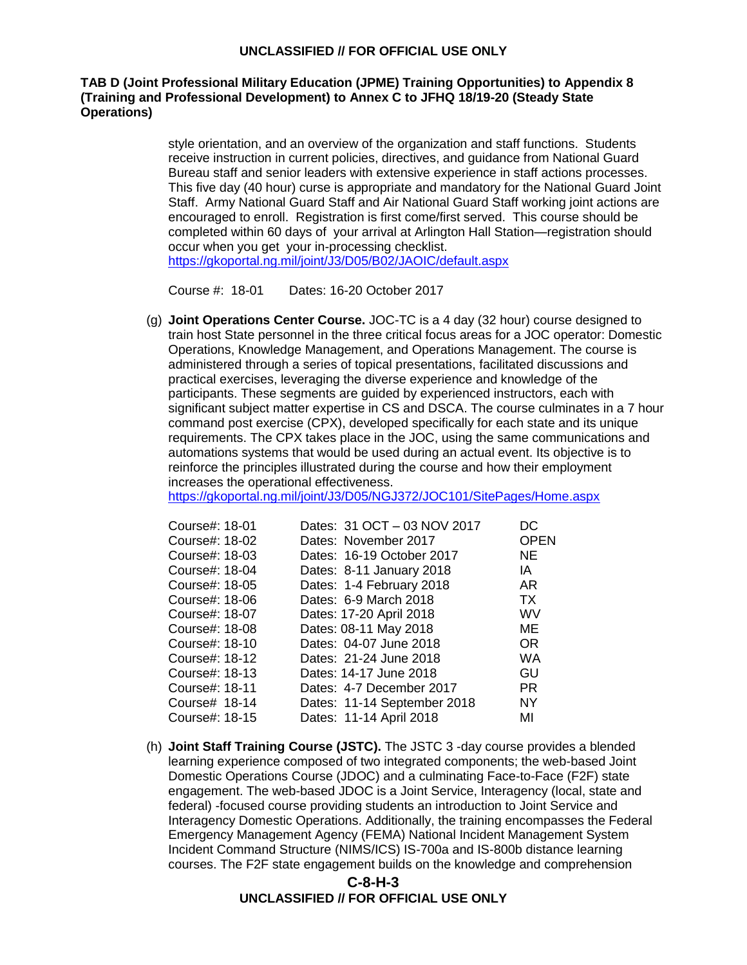# **TAB D (Joint Professional Military Education (JPME) Training Opportunities) to Appendix 8 (Training and Professional Development) to Annex C to JFHQ 18/19-20 (Steady State Operations)**

style orientation, and an overview of the organization and staff functions. Students receive instruction in current policies, directives, and guidance from National Guard Bureau staff and senior leaders with extensive experience in staff actions processes. This five day (40 hour) curse is appropriate and mandatory for the National Guard Joint Staff. Army National Guard Staff and Air National Guard Staff working joint actions are encouraged to enroll. Registration is first come/first served. This course should be completed within 60 days of your arrival at Arlington Hall Station—registration should occur when you get your in-processing checklist. <https://gkoportal.ng.mil/joint/J3/D05/B02/JAOIC/default.aspx>

Course #: 18-01 Dates: 16-20 October 2017

(g) **Joint Operations Center Course.** JOC-TC is a 4 day (32 hour) course designed to train host State personnel in the three critical focus areas for a JOC operator: Domestic Operations, Knowledge Management, and Operations Management. The course is administered through a series of topical presentations, facilitated discussions and practical exercises, leveraging the diverse experience and knowledge of the participants. These segments are guided by experienced instructors, each with significant subject matter expertise in CS and DSCA. The course culminates in a 7 hour command post exercise (CPX), developed specifically for each state and its unique requirements. The CPX takes place in the JOC, using the same communications and automations systems that would be used during an actual event. Its objective is to reinforce the principles illustrated during the course and how their employment increases the operational effectiveness.

<https://gkoportal.ng.mil/joint/J3/D05/NGJ372/JOC101/SitePages/Home.aspx>

| Course#: 18-01 | Dates: 31 OCT - 03 NOV 2017 | DC          |
|----------------|-----------------------------|-------------|
| Course#: 18-02 | Dates: November 2017        | <b>OPEN</b> |
| Course#: 18-03 | Dates: 16-19 October 2017   | <b>NE</b>   |
| Course#: 18-04 | Dates: 8-11 January 2018    | IA          |
| Course#: 18-05 | Dates: 1-4 February 2018    | AR          |
| Course#: 18-06 | Dates: 6-9 March 2018       | <b>TX</b>   |
| Course#: 18-07 | Dates: 17-20 April 2018     | WV          |
| Course#: 18-08 | Dates: 08-11 May 2018       | МE          |
| Course#: 18-10 | Dates: 04-07 June 2018      | OR.         |
| Course#: 18-12 | Dates: 21-24 June 2018      | <b>WA</b>   |
| Course#: 18-13 | Dates: 14-17 June 2018      | GU          |
| Course#: 18-11 | Dates: 4-7 December 2017    | <b>PR</b>   |
| Course# 18-14  | Dates: 11-14 September 2018 | <b>NY</b>   |
| Course#: 18-15 | Dates: 11-14 April 2018     | MI          |
|                |                             |             |

(h) **Joint Staff Training Course (JSTC).** The JSTC 3 -day course provides a blended learning experience composed of two integrated components; the web-based Joint Domestic Operations Course (JDOC) and a culminating Face-to-Face (F2F) state engagement. The web-based JDOC is a Joint Service, Interagency (local, state and federal) -focused course providing students an introduction to Joint Service and Interagency Domestic Operations. Additionally, the training encompasses the Federal Emergency Management Agency (FEMA) National Incident Management System Incident Command Structure (NIMS/ICS) IS-700a and IS-800b distance learning courses. The F2F state engagement builds on the knowledge and comprehension

# **C-8-H-3 UNCLASSIFIED // FOR OFFICIAL USE ONLY**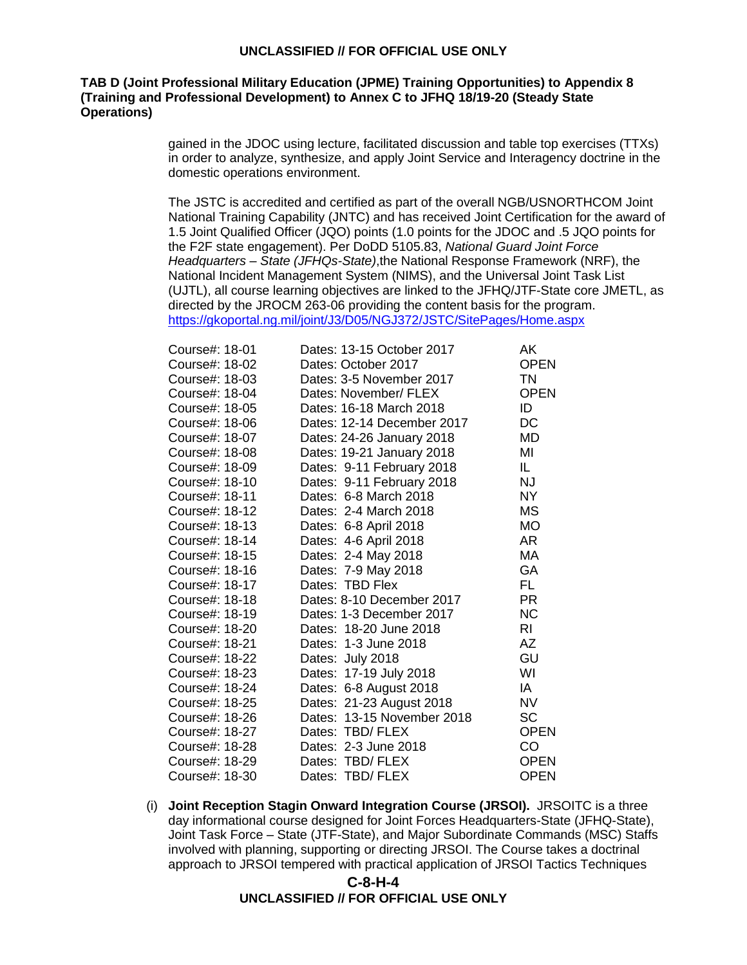## **TAB D (Joint Professional Military Education (JPME) Training Opportunities) to Appendix 8 (Training and Professional Development) to Annex C to JFHQ 18/19-20 (Steady State Operations)**

gained in the JDOC using lecture, facilitated discussion and table top exercises (TTXs) in order to analyze, synthesize, and apply Joint Service and Interagency doctrine in the domestic operations environment.

The JSTC is accredited and certified as part of the overall NGB/USNORTHCOM Joint National Training Capability (JNTC) and has received Joint Certification for the award of 1.5 Joint Qualified Officer (JQO) points (1.0 points for the JDOC and .5 JQO points for the F2F state engagement). Per DoDD 5105.83, *National Guard Joint Force Headquarters – State (JFHQs-State)*,the National Response Framework (NRF), the National Incident Management System (NIMS), and the Universal Joint Task List (UJTL), all course learning objectives are linked to the JFHQ/JTF-State core JMETL, as directed by the JROCM 263-06 providing the content basis for the program. <https://gkoportal.ng.mil/joint/J3/D05/NGJ372/JSTC/SitePages/Home.aspx>

| Course#: 18-01 | Dates: 13-15 October 2017  | AK.         |
|----------------|----------------------------|-------------|
| Course#: 18-02 | Dates: October 2017        | <b>OPEN</b> |
| Course#: 18-03 | Dates: 3-5 November 2017   | <b>TN</b>   |
| Course#: 18-04 | Dates: November/ FLEX      | <b>OPEN</b> |
| Course#: 18-05 | Dates: 16-18 March 2018    | ID          |
| Course#: 18-06 | Dates: 12-14 December 2017 | DC          |
| Course#: 18-07 | Dates: 24-26 January 2018  | <b>MD</b>   |
| Course#: 18-08 | Dates: 19-21 January 2018  | MI          |
| Course#: 18-09 | Dates: 9-11 February 2018  | IL          |
| Course#: 18-10 | Dates: 9-11 February 2018  | <b>NJ</b>   |
| Course#: 18-11 | Dates: 6-8 March 2018      | <b>NY</b>   |
| Course#: 18-12 | Dates: 2-4 March 2018      | <b>MS</b>   |
| Course#: 18-13 | Dates: 6-8 April 2018      | МO          |
| Course#: 18-14 | Dates: 4-6 April 2018      | AR          |
| Course#: 18-15 | Dates: 2-4 May 2018        | MA          |
| Course#: 18-16 | Dates: 7-9 May 2018        | GA          |
| Course#: 18-17 | Dates: TBD Flex            | FL.         |
| Course#: 18-18 | Dates: 8-10 December 2017  | <b>PR</b>   |
| Course#: 18-19 | Dates: 1-3 December 2017   | <b>NC</b>   |
| Course#: 18-20 | Dates: 18-20 June 2018     | RI.         |
| Course#: 18-21 | Dates: 1-3 June 2018       | AZ          |
| Course#: 18-22 | Dates: July 2018           | GU          |
| Course#: 18-23 | Dates: 17-19 July 2018     | WI          |
| Course#: 18-24 | Dates: 6-8 August 2018     | IA          |
| Course#: 18-25 | Dates: 21-23 August 2018   | <b>NV</b>   |
| Course#: 18-26 | Dates: 13-15 November 2018 | <b>SC</b>   |
| Course#: 18-27 | Dates: TBD/ FLEX           | <b>OPEN</b> |
| Course#: 18-28 | Dates: 2-3 June 2018       | CO          |
| Course#: 18-29 | Dates: TBD/FLEX            | <b>OPEN</b> |
| Course#: 18-30 | Dates: TBD/ FLEX           | OPEN        |

(i) **Joint Reception Stagin Onward Integration Course (JRSOI).** JRSOITC is a three day informational course designed for Joint Forces Headquarters-State (JFHQ-State), Joint Task Force – State (JTF-State), and Major Subordinate Commands (MSC) Staffs involved with planning, supporting or directing JRSOI. The Course takes a doctrinal approach to JRSOI tempered with practical application of JRSOI Tactics Techniques

# **C-8-H-4 UNCLASSIFIED // FOR OFFICIAL USE ONLY**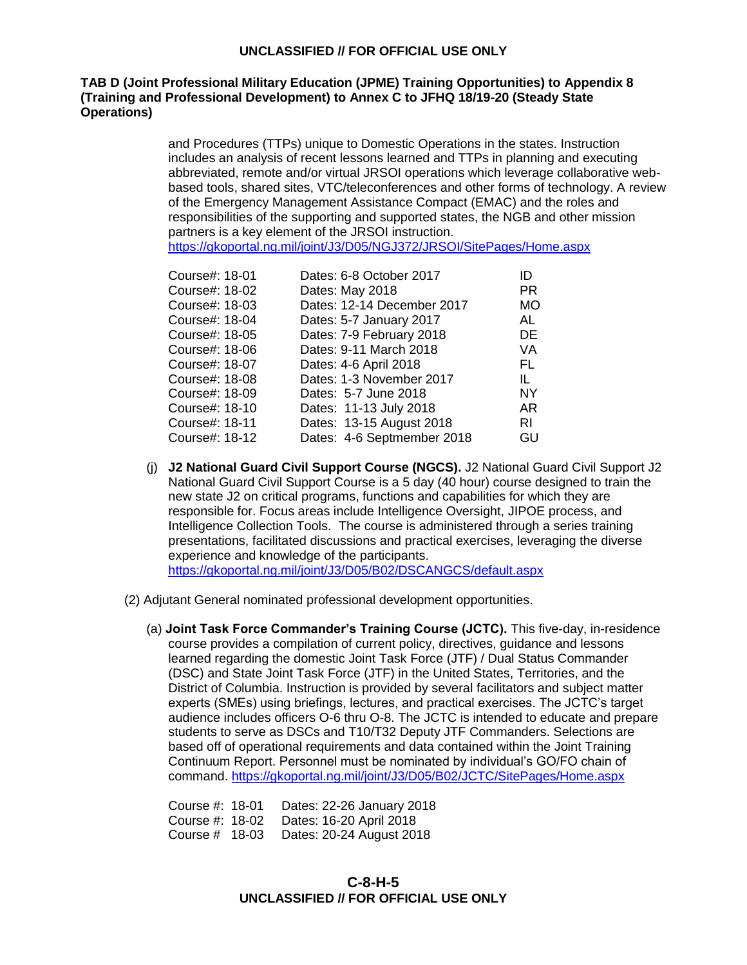## **TAB D (Joint Professional Military Education (JPME) Training Opportunities) to Appendix 8 (Training and Professional Development) to Annex C to JFHQ 18/19-20 (Steady State Operations)**

and Procedures (TTPs) unique to Domestic Operations in the states. Instruction includes an analysis of recent lessons learned and TTPs in planning and executing abbreviated, remote and/or virtual JRSOI operations which leverage collaborative webbased tools, shared sites, VTC/teleconferences and other forms of technology. A review of the Emergency Management Assistance Compact (EMAC) and the roles and responsibilities of the supporting and supported states, the NGB and other mission partners is a key element of the JRSOI instruction. <https://gkoportal.ng.mil/joint/J3/D05/NGJ372/JRSOI/SitePages/Home.aspx>

| Course#: 18-01 | Dates: 6-8 October 2017    | ID        |
|----------------|----------------------------|-----------|
| Course#: 18-02 | Dates: May 2018            | PR.       |
| Course#: 18-03 | Dates: 12-14 December 2017 | <b>MO</b> |
| Course#: 18-04 | Dates: 5-7 January 2017    | AL        |
| Course#: 18-05 | Dates: 7-9 February 2018   | DE        |
| Course#: 18-06 | Dates: 9-11 March 2018     | VA        |
| Course#: 18-07 | Dates: 4-6 April 2018      | FL        |
| Course#: 18-08 | Dates: 1-3 November 2017   | IL        |
| Course#: 18-09 | Dates: 5-7 June 2018       | NY.       |
| Course#: 18-10 | Dates: 11-13 July 2018     | AR.       |
| Course#: 18-11 | Dates: 13-15 August 2018   | RI        |
| Course#: 18-12 | Dates: 4-6 Septmember 2018 | GU        |
|                |                            |           |

- (j) **J2 National Guard Civil Support Course (NGCS).** J2 National Guard Civil Support J2 National Guard Civil Support Course is a 5 day (40 hour) course designed to train the new state J2 on critical programs, functions and capabilities for which they are responsible for. Focus areas include Intelligence Oversight, JIPOE process, and Intelligence Collection Tools. The course is administered through a series training presentations, facilitated discussions and practical exercises, leveraging the diverse experience and knowledge of the participants. <https://gkoportal.ng.mil/joint/J3/D05/B02/DSCANGCS/default.aspx>
- (2) Adjutant General nominated professional development opportunities.
	- (a) **Joint Task Force Commander's Training Course (JCTC).** This five-day, in-residence course provides a compilation of current policy, directives, guidance and lessons learned regarding the domestic Joint Task Force (JTF) / Dual Status Commander (DSC) and State Joint Task Force (JTF) in the United States, Territories, and the District of Columbia. Instruction is provided by several facilitators and subject matter experts (SMEs) using briefings, lectures, and practical exercises. The JCTC's target audience includes officers O-6 thru O-8. The JCTC is intended to educate and prepare students to serve as DSCs and T10/T32 Deputy JTF Commanders. Selections are based off of operational requirements and data contained within the Joint Training Continuum Report. Personnel must be nominated by individual's GO/FO chain of command. <https://gkoportal.ng.mil/joint/J3/D05/B02/JCTC/SitePages/Home.aspx>

Course #: 18-01 Dates: 22-26 January 2018 Course #: 18-02 Dates: 16-20 April 2018 Course # 18-03 Dates: 20-24 August 2018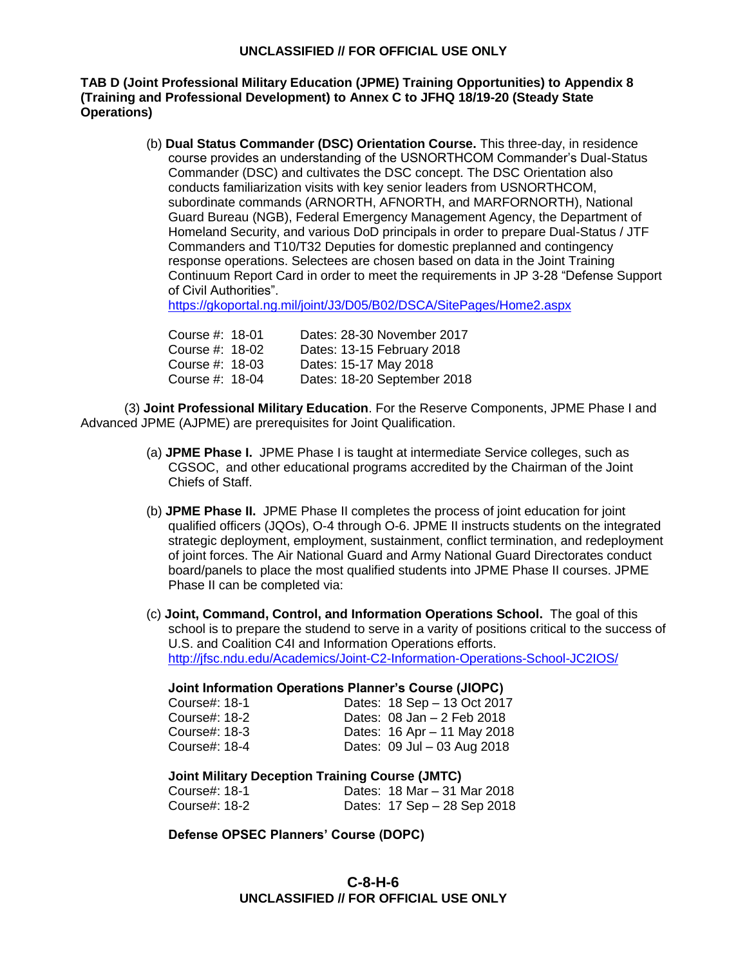# **TAB D (Joint Professional Military Education (JPME) Training Opportunities) to Appendix 8 (Training and Professional Development) to Annex C to JFHQ 18/19-20 (Steady State Operations)**

(b) **Dual Status Commander (DSC) Orientation Course.** This three-day, in residence course provides an understanding of the USNORTHCOM Commander's Dual-Status Commander (DSC) and cultivates the DSC concept. The DSC Orientation also conducts familiarization visits with key senior leaders from USNORTHCOM, subordinate commands (ARNORTH, AFNORTH, and MARFORNORTH), National Guard Bureau (NGB), Federal Emergency Management Agency, the Department of Homeland Security, and various DoD principals in order to prepare Dual-Status / JTF Commanders and T10/T32 Deputies for domestic preplanned and contingency response operations. Selectees are chosen based on data in the Joint Training Continuum Report Card in order to meet the requirements in JP 3-28 "Defense Support of Civil Authorities".

<https://gkoportal.ng.mil/joint/J3/D05/B02/DSCA/SitePages/Home2.aspx>

| Dates: 28-30 November 2017  |
|-----------------------------|
| Dates: 13-15 February 2018  |
|                             |
| Dates: 18-20 September 2018 |
|                             |

(3) **Joint Professional Military Education**. For the Reserve Components, JPME Phase I and Advanced JPME (AJPME) are prerequisites for Joint Qualification.

- (a) **JPME Phase I.** JPME Phase I is taught at intermediate Service colleges, such as CGSOC, and other educational programs accredited by the Chairman of the Joint Chiefs of Staff.
- (b) **JPME Phase II.** JPME Phase II completes the process of joint education for joint qualified officers (JQOs), O-4 through O-6. JPME II instructs students on the integrated strategic deployment, employment, sustainment, conflict termination, and redeployment of joint forces. The Air National Guard and Army National Guard Directorates conduct board/panels to place the most qualified students into JPME Phase II courses. JPME Phase II can be completed via:

(c) **Joint, Command, Control, and Information Operations School.** The goal of this school is to prepare the studend to serve in a varity of positions critical to the success of U.S. and Coalition C4I and Information Operations efforts. <http://jfsc.ndu.edu/Academics/Joint-C2-Information-Operations-School-JC2IOS/>

#### **Joint Information Operations Planner's Course (JIOPC)**

| Course#: 18-1 | Dates: 18 Sep - 13 Oct 2017    |
|---------------|--------------------------------|
| Course#: 18-2 | Dates: $08$ Jan $-2$ Feb 2018  |
| Course#: 18-3 | Dates: 16 Apr - 11 May 2018    |
| Course#: 18-4 | Dates: $09$ Jul $-03$ Aug 2018 |

# **Joint Military Deception Training Course (JMTC)**

| Course#: 18-1 |  | Dates: 18 Mar – 31 Mar 2018 |
|---------------|--|-----------------------------|
| Course#: 18-2 |  | Dates: 17 Sep - 28 Sep 2018 |

**Defense OPSEC Planners' Course (DOPC)**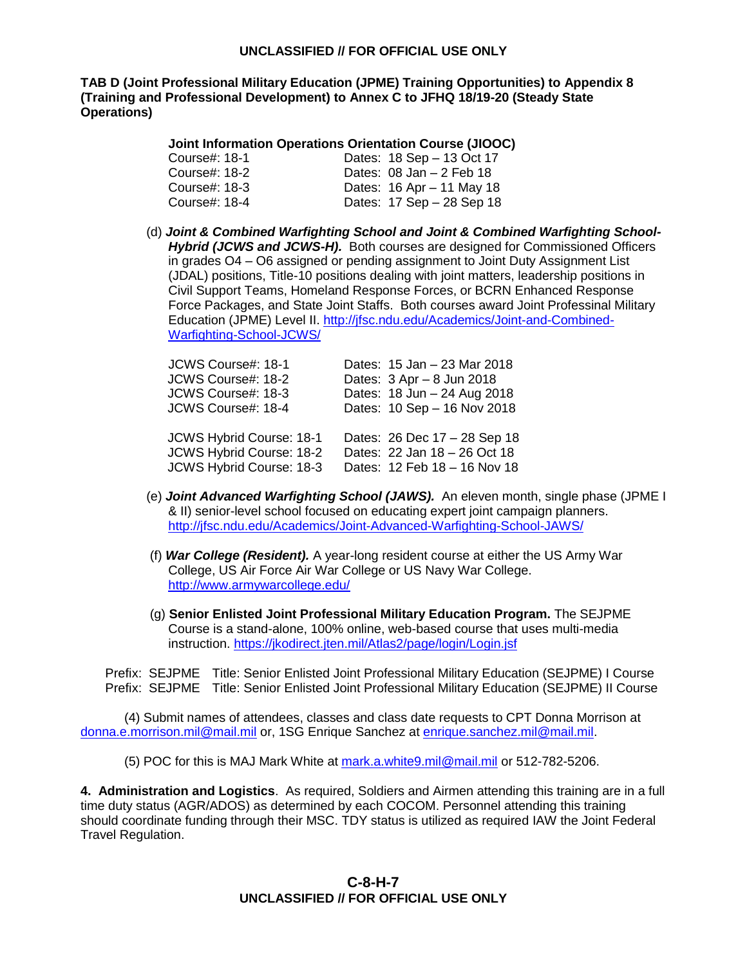**TAB D (Joint Professional Military Education (JPME) Training Opportunities) to Appendix 8 (Training and Professional Development) to Annex C to JFHQ 18/19-20 (Steady State Operations)**

#### **Joint Information Operations Orientation Course (JIOOC)**

| Course#: 18-1 | Dates: 18 Sep - 13 Oct 17   |
|---------------|-----------------------------|
| Course#: 18-2 | Dates: $08$ Jan $-2$ Feb 18 |
| Course#: 18-3 | Dates: 16 Apr - 11 May 18   |
| Course#: 18-4 | Dates: 17 Sep - 28 Sep 18   |

(d) *Joint & Combined Warfighting School and Joint & Combined Warfighting School-Hybrid (JCWS and JCWS-H).* Both courses are designed for Commissioned Officers in grades O4 – O6 assigned or pending assignment to Joint Duty Assignment List (JDAL) positions, Title-10 positions dealing with joint matters, leadership positions in Civil Support Teams, Homeland Response Forces, or BCRN Enhanced Response Force Packages, and State Joint Staffs. Both courses award Joint Professinal Military Education (JPME) Level II. [http://jfsc.ndu.edu/Academics/Joint-and-Combined-](http://jfsc.ndu.edu/Academics/Joint-and-Combined-Warfighting-School-JCWS/)[Warfighting-School-JCWS/](http://jfsc.ndu.edu/Academics/Joint-and-Combined-Warfighting-School-JCWS/)

| JCWS Course#: 18-1       | Dates: 15 Jan - 23 Mar 2018  |
|--------------------------|------------------------------|
| JCWS Course#: 18-2       | Dates: 3 Apr - 8 Jun 2018    |
| JCWS Course#: 18-3       | Dates: 18 Jun - 24 Aug 2018  |
| JCWS Course#: 18-4       | Dates: 10 Sep - 16 Nov 2018  |
|                          |                              |
| JCWS Hybrid Course: 18-1 | Dates: 26 Dec 17 - 28 Sep 18 |
| JCWS Hybrid Course: 18-2 | Dates: 22 Jan 18 - 26 Oct 18 |
| JCWS Hybrid Course: 18-3 | Dates: 12 Feb 18 - 16 Nov 18 |
|                          |                              |

- (e) *Joint Advanced Warfighting School (JAWS).*An eleven month, single phase (JPME I & II) senior-level school focused on educating expert joint campaign planners. <http://jfsc.ndu.edu/Academics/Joint-Advanced-Warfighting-School-JAWS/>
- (f) *War College (Resident).* A year-long resident course at either the US Army War College, US Air Force Air War College or US Navy War College. <http://www.armywarcollege.edu/>
- (g) **Senior Enlisted Joint Professional Military Education Program.** The SEJPME Course is a stand-alone, 100% online, web-based course that uses multi-media instruction.<https://jkodirect.jten.mil/Atlas2/page/login/Login.jsf>

 Prefix: SEJPME Title: Senior Enlisted Joint Professional Military Education (SEJPME) I Course Prefix: SEJPME Title: Senior Enlisted Joint Professional Military Education (SEJPME) II Course

(4) Submit names of attendees, classes and class date requests to CPT Donna Morrison at [donna.e.morrison.mil@mail.mil](mailto:donna.e.morrison.mil@mail.mil) or, 1SG Enrique Sanchez at [enrique.sanchez.mil@mail.mil.](mailto:enrique.sanchez.mil@mail.mil)

(5) POC for this is MAJ Mark White at [mark.a.white9.mil@mail.mil](mailto:mark.a.white9.mil@mail.mil) or 512-782-5206.

**4. Administration and Logistics**. As required, Soldiers and Airmen attending this training are in a full time duty status (AGR/ADOS) as determined by each COCOM. Personnel attending this training should coordinate funding through their MSC. TDY status is utilized as required IAW the Joint Federal Travel Regulation.